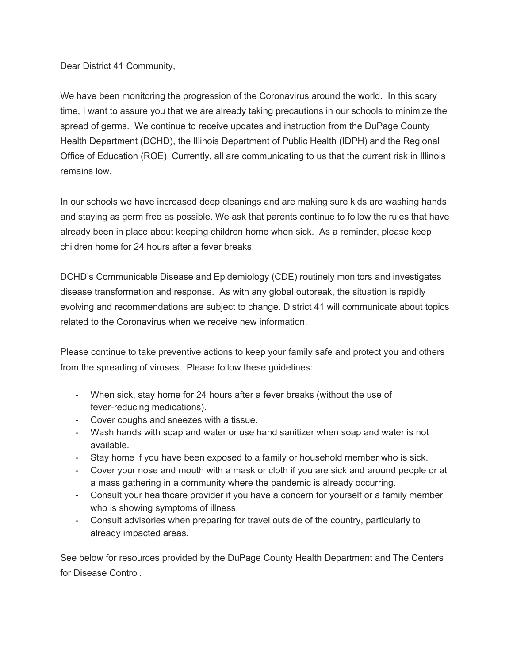Dear District 41 Community,

We have been monitoring the progression of the Coronavirus around the world. In this scary time, I want to assure you that we are already taking precautions in our schools to minimize the spread of germs. We continue to receive updates and instruction from the DuPage County Health Department (DCHD), the Illinois Department of Public Health (IDPH) and the Regional Office of Education (ROE). Currently, all are communicating to us that the current risk in Illinois remains low.

In our schools we have increased deep cleanings and are making sure kids are washing hands and staying as germ free as possible. We ask that parents continue to follow the rules that have already been in place about keeping children home when sick. As a reminder, please keep children home for 24 hours after a fever breaks.

DCHD's Communicable Disease and Epidemiology (CDE) routinely monitors and investigates disease transformation and response. As with any global outbreak, the situation is rapidly evolving and recommendations are subject to change. District 41 will communicate about topics related to the Coronavirus when we receive new information.

Please continue to take preventive actions to keep your family safe and protect you and others from the spreading of viruses. Please follow these guidelines:

- When sick, stay home for 24 hours after a fever breaks (without the use of fever-reducing medications).
- Cover coughs and sneezes with a tissue.
- Wash hands with soap and water or use hand sanitizer when soap and water is not available.
- Stay home if you have been exposed to a family or household member who is sick.
- Cover your nose and mouth with a mask or cloth if you are sick and around people or at a mass gathering in a community where the pandemic is already occurring.
- Consult your healthcare provider if you have a concern for yourself or a family member who is showing symptoms of illness.
- Consult advisories when preparing for travel outside of the country, particularly to already impacted areas.

See below for resources provided by the DuPage County Health Department and The Centers for Disease Control.